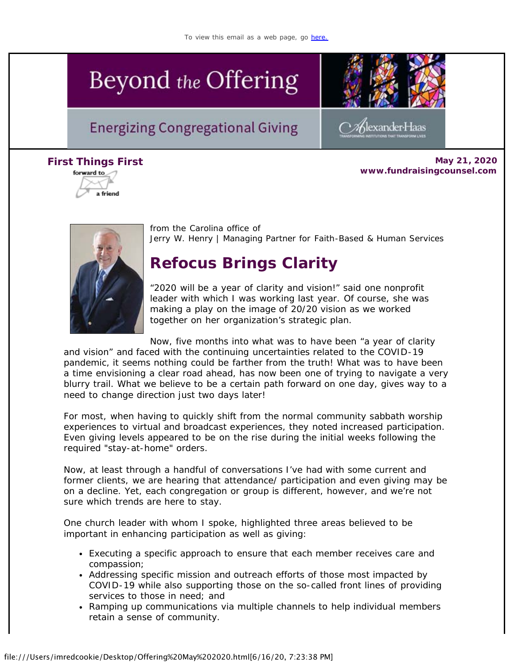# Beyond the Offering

## **Energizing Congregational Giving**



Klexander-Haas

**First Things** *[F](https://view.exacttarget.com/ftaf.aspx?qs=9b590b0e4abd355990a4377cdc56be5b9bd7263e7d0a503e4c054b241b5864d9f1211a6be2945ac6aaf5b84485fed47ea5be4f20683805b9)irst* **May 21, 2020 www.fundraisingcounsel.com**





from the Carolina office of *Jerry W. Henry* | Managing Partner for Faith-Based & Human Services

# **Refocus Brings Clarity**

"2020 will be a year of clarity and vision!" said one nonprofit leader with which I was working last year. Of course, she was making a play on the image of 20/20 vision as we worked together on her organization's strategic plan.

Now, five months into what was to have been "a year of clarity

and vision" and faced with the continuing uncertainties related to the COVID-19 pandemic, it seems nothing could be farther from the truth! What was to have been a time envisioning a clear road ahead, has now been one of trying to navigate a very blurry trail. What we believe to be a certain path forward on one day, gives way to a need to change direction just two days later!

For most, when having to quickly shift from the normal community sabbath worship experiences to virtual and broadcast experiences, they noted increased participation. Even giving levels appeared to be on the rise during the initial weeks following the required "stay-at-home" orders.

Now, at least through a handful of conversations I've had with some current and former clients, we are hearing that attendance/ participation and even giving may be on a decline. Yet, each congregation or group is different, however, and we're not sure which trends are here to stay.

One church leader with whom I spoke, highlighted three areas believed to be important in enhancing participation as well as giving:

- Executing a specific approach to ensure that each member receives care and compassion;
- Addressing specific mission and outreach efforts of those most impacted by COVID-19 while also supporting those on the so-called front lines of providing services to those in need; and
- Ramping up communications via multiple channels to help individual members retain a sense of community.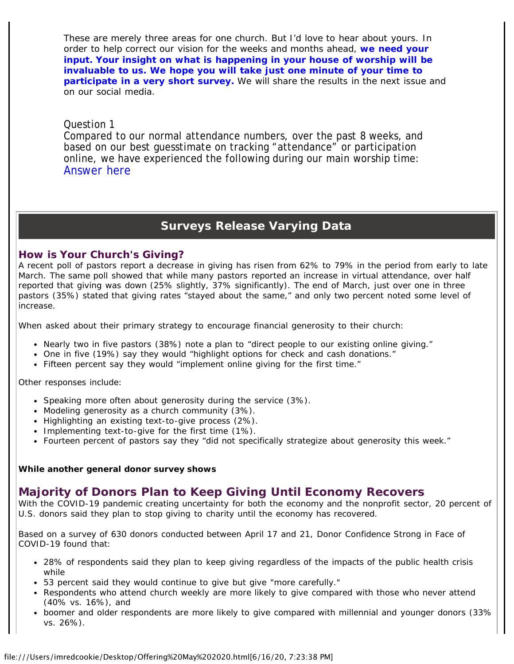These are merely three areas for one church. But I'd love to hear about yours. In order to help correct our vision for the weeks and months ahead, **[we need your](https://cl.exct.net/?qs=8b932824a764f4b1cc979ba7a6a7a1b861ac9833a573f57818a02ae87382dba08a28819b17394f88c8c562a048880f29) [input. Your insight on what is happening in your house of worship will be](https://cl.exct.net/?qs=8b932824a764f4b1cc979ba7a6a7a1b861ac9833a573f57818a02ae87382dba08a28819b17394f88c8c562a048880f29) [invaluable to us. We hope you will take just one minute of your time to](https://cl.exct.net/?qs=8b932824a764f4b1cc979ba7a6a7a1b861ac9833a573f57818a02ae87382dba08a28819b17394f88c8c562a048880f29) [participate in a very short survey.](https://cl.exct.net/?qs=8b932824a764f4b1cc979ba7a6a7a1b861ac9833a573f57818a02ae87382dba08a28819b17394f88c8c562a048880f29)** We will share the results in the next issue and on our social media.

### Question 1

Compared to our normal attendance numbers, over the past 8 weeks, and based on our best guesstimate on tracking "attendance" or participation online, we have experienced the following during our main worship time: [Answer here](https://cl.exct.net/?qs=8b932824a764f4b1fe81512cf0b6e0edabcf14e9be8bce42c2c2871ccdf4969546be05bcf446be3bcc04d172f1a6454b)

## **Surveys Release Varying Data**

## **How is Your Church's Giving?**

A recent poll of pastors report a decrease in giving has risen from 62% to 79% in the period from early to late March. The same poll showed that while many pastors reported an increase in virtual attendance, over half reported that giving was down (25% slightly, 37% significantly). The end of March, just over one in three pastors (35%) stated that giving rates "stayed about the same," and only two percent noted some level of increase.

When asked about their primary strategy to encourage financial generosity to their church:

- Nearly two in five pastors (38%) note a plan to "direct people to our existing online giving."
- One in five (19%) say they would "highlight options for check and cash donations."
- Fifteen percent say they would "implement online giving for the first time."

Other responses include:

- Speaking more often about generosity during the service (3%).
- Modeling generosity as a church community (3%).
- Highlighting an existing text-to-give process (2%).
- Implementing text-to-give for the first time  $(1%)$ .
- Fourteen percent of pastors say they "did not specifically strategize about generosity this week."

#### *While another general donor survey shows*

## **Majority of Donors Plan to Keep Giving Until Economy Recovers**

With the COVID-19 pandemic creating uncertainty for both the economy and the nonprofit sector, 20 percent of U.S. donors said they plan to stop giving to charity until the economy has recovered.

Based on a survey of 630 donors conducted between April 17 and 21, Donor Confidence Strong in Face of COVID-19 found that:

- 28% of respondents said they plan to keep giving regardless of the impacts of the public health crisis while
- 53 percent said they would continue to give but give "more carefully."
- Respondents who attend church weekly are more likely to give compared with those who never attend (40% vs. 16%), and
- boomer and older respondents are more likely to give compared with millennial and younger donors (33% vs. 26%).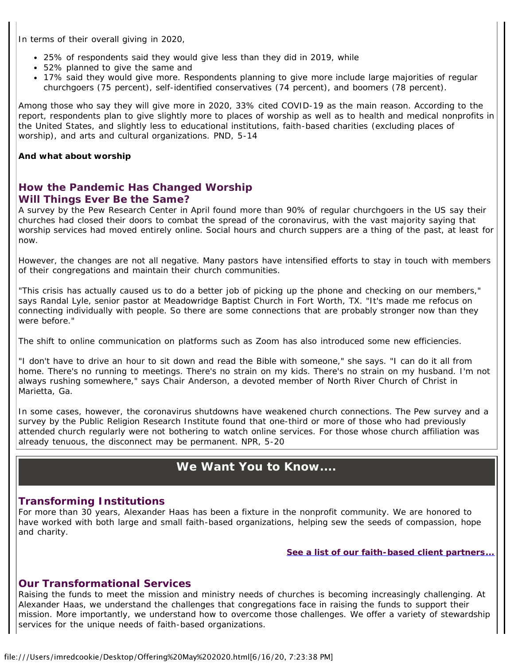In terms of their overall giving in 2020,

- 25% of respondents said they would give less than they did in 2019, while
- 52% planned to give the same and
- 17% said they would give more. Respondents planning to give more include large majorities of regular churchgoers (75 percent), self-identified conservatives (74 percent), and boomers (78 percent).

Among those who say they will give more in 2020, 33% cited COVID-19 as the main reason. According to the report, respondents plan to give slightly more to places of worship as well as to health and medical nonprofits in the United States, and slightly less to educational institutions, faith-based charities (excluding places of worship), and arts and cultural organizations. *PND, 5-14*

#### *And what about worship*

## **How the Pandemic Has Changed Worship Will Things Ever Be the Same?**

A survey by the Pew Research Center in April found more than 90% of regular churchgoers in the US say their churches had closed their doors to combat the spread of the coronavirus, with the vast majority saying that worship services had moved entirely online. Social hours and church suppers are a thing of the past, at least for now.

However, the changes are not all negative. Many pastors have intensified efforts to stay in touch with members of their congregations and maintain their church communities.

"This crisis has actually caused us to do a better job of picking up the phone and checking on our members," says Randal Lyle, senior pastor at Meadowridge Baptist Church in Fort Worth, TX. "It's made me refocus on connecting individually with people. So there are some connections that are probably stronger now than they were before."

The shift to online communication on platforms such as Zoom has also introduced some new efficiencies.

"I don't have to drive an hour to sit down and read the Bible with someone," she says. "I can do it all from home. There's no running to meetings. There's no strain on my kids. There's no strain on my husband. I'm not always rushing somewhere," says Chair Anderson, a devoted member of North River Church of Christ in Marietta, Ga.

In some cases, however, the coronavirus shutdowns have weakened church connections. The Pew survey and a survey by the Public Religion Research Institute found that one-third or more of those who had previously attended church regularly were not bothering to watch online services. For those whose church affiliation was already tenuous, the disconnect may be permanent. *NPR, 5-20*

## **We Want You to** *Know....*

#### *Transforming* **Institutions**

For more than 30 years, Alexander Haas has been a fixture in the nonprofit community. We are honored to have worked with both large and small faith-based organizations, helping sew the seeds of compassion, hope and charity.

**[See a list of our faith-based client](https://cl.exct.net/?qs=8b932824a764f4b14cc8ef75c149dae9ff8f72217e1a2c30f7e12de71e1bcb3ee7a4b857ca7abf90e24d92bd5a89949e)** *[partners](https://cl.exct.net/?qs=8b932824a764f4b14cc8ef75c149dae9ff8f72217e1a2c30f7e12de71e1bcb3ee7a4b857ca7abf90e24d92bd5a89949e)***[...](https://cl.exct.net/?qs=8b932824a764f4b14cc8ef75c149dae9ff8f72217e1a2c30f7e12de71e1bcb3ee7a4b857ca7abf90e24d92bd5a89949e)**

## **Our** *Transformational* **Services**

Raising the funds to meet the mission and ministry needs of churches is becoming increasingly challenging. At Alexander Haas, we understand the challenges that congregations face in raising the funds to support their mission. More importantly, we understand how to overcome those challenges. We offer a variety of stewardship services for the unique needs of faith-based organizations.